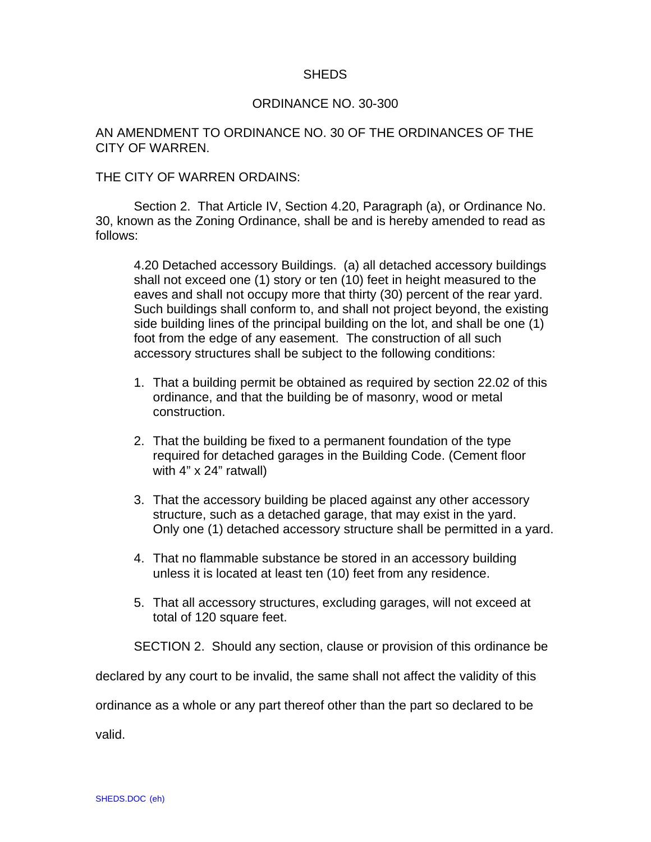## SHEDS

## ORDINANCE NO. 30-300

## AN AMENDMENT TO ORDINANCE NO. 30 OF THE ORDINANCES OF THE CITY OF WARREN.

## THE CITY OF WARREN ORDAINS:

Section 2. That Article IV, Section 4.20, Paragraph (a), or Ordinance No. 30, known as the Zoning Ordinance, shall be and is hereby amended to read as follows:

4.20 Detached accessory Buildings. (a) all detached accessory buildings shall not exceed one (1) story or ten (10) feet in height measured to the eaves and shall not occupy more that thirty (30) percent of the rear yard. Such buildings shall conform to, and shall not project beyond, the existing side building lines of the principal building on the lot, and shall be one (1) foot from the edge of any easement. The construction of all such accessory structures shall be subject to the following conditions:

- 1. That a building permit be obtained as required by section 22.02 of this ordinance, and that the building be of masonry, wood or metal construction.
- 2. That the building be fixed to a permanent foundation of the type required for detached garages in the Building Code. (Cement floor with 4" x 24" ratwall)
- 3. That the accessory building be placed against any other accessory structure, such as a detached garage, that may exist in the yard. Only one (1) detached accessory structure shall be permitted in a yard.
- 4. That no flammable substance be stored in an accessory building unless it is located at least ten (10) feet from any residence.
- 5. That all accessory structures, excluding garages, will not exceed at total of 120 square feet.

SECTION 2. Should any section, clause or provision of this ordinance be

declared by any court to be invalid, the same shall not affect the validity of this

ordinance as a whole or any part thereof other than the part so declared to be

valid.